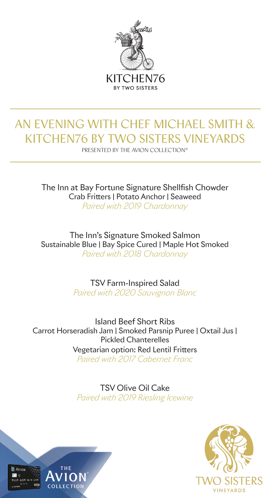

# AN EVENING WITH CHEF MICHAEL SMITH & KITCHEN76 BY TWO SISTERS VINEYARDS

PRESENTED BY THE AVION COLLECTION®

The Inn at Bay Fortune Signature Shellfish Chowder Crab Fritters | Potato Anchor | Seaweed *Paired with 2019 Chardonnay*

The Inn's Signature Smoked Salmon Sustainable Blue | Bay Spice Cured | Maple Hot Smoked *Paired with 2018 Chardonnay*

> TSV Farm-Inspired Salad *Paired with 2020 Sauvignon Blanc*

Island Beef Short Ribs Carrot Horseradish Jam | Smoked Parsnip Puree | Oxtail Jus | Pickled Chanterelles Vegetarian option: Red Lentil Fritters *Paired with 2017 Cabernet Franc*

> TSV Olive Oil Cake *Paired with 2019 Riesling Icewine*